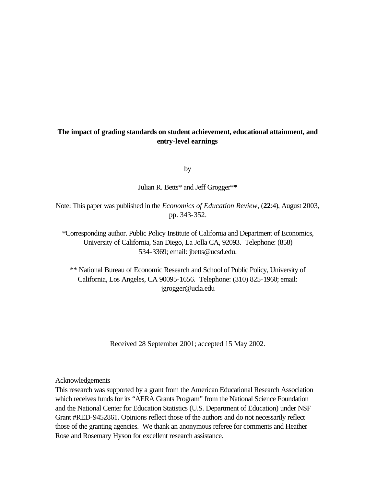# **The impact of grading standards on student achievement, educational attainment, and entry-level earnings**

by

Julian R. Betts\* and Jeff Grogger\*\*

Note: This paper was published in the *Economics of Education Review*, (**22**:4), August 2003, pp. 343-352.

\*Corresponding author. Public Policy Institute of California and Department of Economics, University of California, San Diego, La Jolla CA, 92093. Telephone: (858) 534-3369; email: jbetts@ucsd.edu.

\*\* National Bureau of Economic Research and School of Public Policy, University of California, Los Angeles, CA 90095-1656. Telephone: (310) 825-1960; email: jgrogger@ucla.edu

Received 28 September 2001; accepted 15 May 2002.

Acknowledgements

This research was supported by a grant from the American Educational Research Association which receives funds for its "AERA Grants Program" from the National Science Foundation and the National Center for Education Statistics (U.S. Department of Education) under NSF Grant #RED-9452861. Opinions reflect those of the authors and do not necessarily reflect those of the granting agencies. We thank an anonymous referee for comments and Heather Rose and Rosemary Hyson for excellent research assistance.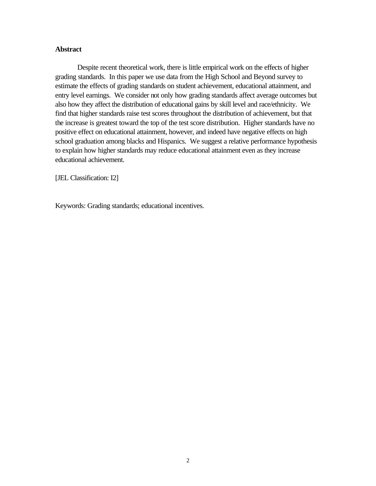## **Abstract**

Despite recent theoretical work, there is little empirical work on the effects of higher grading standards. In this paper we use data from the High School and Beyond survey to estimate the effects of grading standards on student achievement, educational attainment, and entry level earnings. We consider not only how grading standards affect average outcomes but also how they affect the distribution of educational gains by skill level and race/ethnicity. We find that higher standards raise test scores throughout the distribution of achievement, but that the increase is greatest toward the top of the test score distribution. Higher standards have no positive effect on educational attainment, however, and indeed have negative effects on high school graduation among blacks and Hispanics. We suggest a relative performance hypothesis to explain how higher standards may reduce educational attainment even as they increase educational achievement.

[JEL Classification: I2]

Keywords: Grading standards; educational incentives.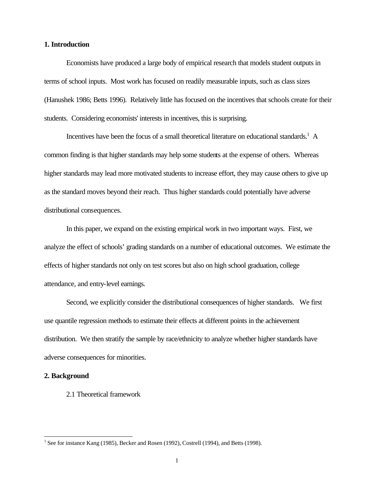## **1. Introduction**

Economists have produced a large body of empirical research that models student outputs in terms of school inputs. Most work has focused on readily measurable inputs, such as class sizes (Hanushek 1986; Betts 1996). Relatively little has focused on the incentives that schools create for their students. Considering economists' interests in incentives, this is surprising.

Incentives have been the focus of a small theoretical literature on educational standards.<sup>1</sup> A common finding is that higher standards may help some students at the expense of others. Whereas higher standards may lead more motivated students to increase effort, they may cause others to give up as the standard moves beyond their reach. Thus higher standards could potentially have adverse distributional consequences.

In this paper, we expand on the existing empirical work in two important ways. First, we analyze the effect of schools' grading standards on a number of educational outcomes. We estimate the effects of higher standards not only on test scores but also on high school graduation, college attendance, and entry-level earnings.

Second, we explicitly consider the distributional consequences of higher standards. We first use quantile regression methods to estimate their effects at different points in the achievement distribution. We then stratify the sample by race/ethnicity to analyze whether higher standards have adverse consequences for minorities.

#### **2. Background**

l

2.1 Theoretical framework

<sup>&</sup>lt;sup>1</sup> See for instance Kang (1985), Becker and Rosen (1992), Costrell (1994), and Betts (1998).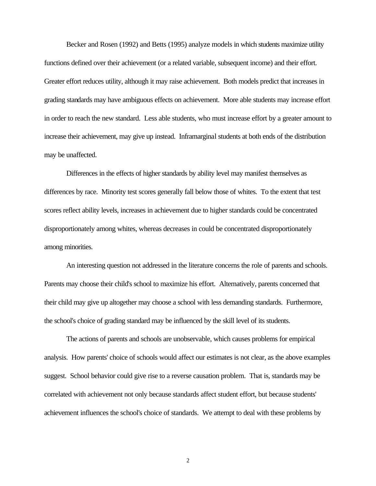Becker and Rosen (1992) and Betts (1995) analyze models in which students maximize utility functions defined over their achievement (or a related variable, subsequent income) and their effort. Greater effort reduces utility, although it may raise achievement. Both models predict that increases in grading standards may have ambiguous effects on achievement. More able students may increase effort in order to reach the new standard. Less able students, who must increase effort by a greater amount to increase their achievement, may give up instead. Inframarginal students at both ends of the distribution may be unaffected.

Differences in the effects of higher standards by ability level may manifest themselves as differences by race. Minority test scores generally fall below those of whites. To the extent that test scores reflect ability levels, increases in achievement due to higher standards could be concentrated disproportionately among whites, whereas decreases in could be concentrated disproportionately among minorities.

An interesting question not addressed in the literature concerns the role of parents and schools. Parents may choose their child's school to maximize his effort. Alternatively, parents concerned that their child may give up altogether may choose a school with less demanding standards. Furthermore, the school's choice of grading standard may be influenced by the skill level of its students.

The actions of parents and schools are unobservable, which causes problems for empirical analysis. How parents' choice of schools would affect our estimates is not clear, as the above examples suggest. School behavior could give rise to a reverse causation problem. That is, standards may be correlated with achievement not only because standards affect student effort, but because students' achievement influences the school's choice of standards. We attempt to deal with these problems by

2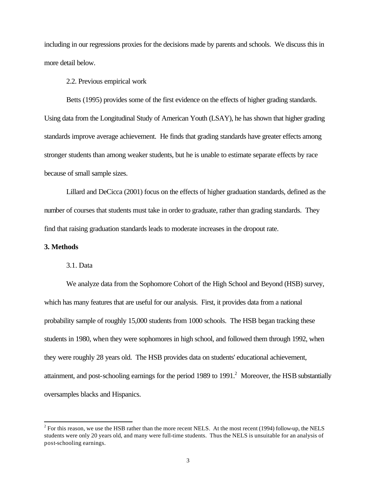including in our regressions proxies for the decisions made by parents and schools. We discuss this in more detail below.

2.2. Previous empirical work

Betts (1995) provides some of the first evidence on the effects of higher grading standards. Using data from the Longitudinal Study of American Youth (LSAY), he has shown that higher grading standards improve average achievement. He finds that grading standards have greater effects among stronger students than among weaker students, but he is unable to estimate separate effects by race because of small sample sizes.

Lillard and DeCicca (2001) focus on the effects of higher graduation standards, defined as the number of courses that students must take in order to graduate, rather than grading standards. They find that raising graduation standards leads to moderate increases in the dropout rate.

### **3. Methods**

l

#### 3.1. Data

We analyze data from the Sophomore Cohort of the High School and Beyond (HSB) survey, which has many features that are useful for our analysis. First, it provides data from a national probability sample of roughly 15,000 students from 1000 schools. The HSB began tracking these students in 1980, when they were sophomores in high school, and followed them through 1992, when they were roughly 28 years old. The HSB provides data on students' educational achievement, attainment, and post-schooling earnings for the period 1989 to 1991. $^2$  Moreover, the HSB substantially oversamples blacks and Hispanics.

 $2^2$  For this reason, we use the HSB rather than the more recent NELS. At the most recent (1994) follow-up, the NELS students were only 20 years old, and many were full-time students. Thus the NELS is unsuitable for an analysis of post-schooling earnings.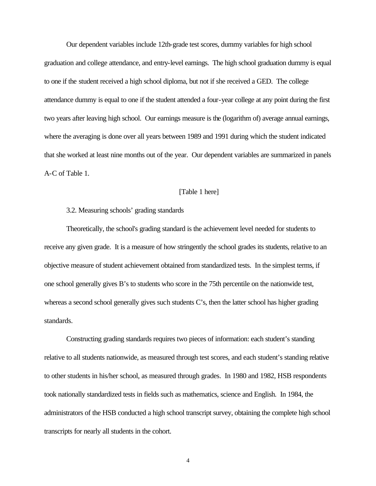Our dependent variables include 12th-grade test scores, dummy variables for high school graduation and college attendance, and entry-level earnings. The high school graduation dummy is equal to one if the student received a high school diploma, but not if she received a GED. The college attendance dummy is equal to one if the student attended a four-year college at any point during the first two years after leaving high school. Our earnings measure is the (logarithm of) average annual earnings, where the averaging is done over all years between 1989 and 1991 during which the student indicated that she worked at least nine months out of the year. Our dependent variables are summarized in panels A-C of Table 1.

## [Table 1 here]

#### 3.2. Measuring schools' grading standards

Theoretically, the school's grading standard is the achievement level needed for students to receive any given grade. It is a measure of how stringently the school grades its students, relative to an objective measure of student achievement obtained from standardized tests. In the simplest terms, if one school generally gives B's to students who score in the 75th percentile on the nationwide test, whereas a second school generally gives such students C's, then the latter school has higher grading standards.

Constructing grading standards requires two pieces of information: each student's standing relative to all students nationwide, as measured through test scores, and each student's standing relative to other students in his/her school, as measured through grades. In 1980 and 1982, HSB respondents took nationally standardized tests in fields such as mathematics, science and English. In 1984, the administrators of the HSB conducted a high school transcript survey, obtaining the complete high school transcripts for nearly all students in the cohort.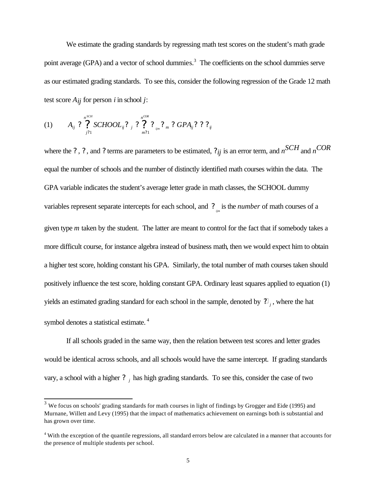We estimate the grading standards by regressing math test scores on the student's math grade point average (GPA) and a vector of school dummies.<sup>3</sup> The coefficients on the school dummies serve as our estimated grading standards. To see this, consider the following regression of the Grade 12 math test score  $A_{ij}$  for person *i* in school *j*:

$$
(1) \qquad A_{ij} \, ? \, \bigg\{\, \sum_{j=1}^{n^{SCH}} \, SCHOOL_{ij} \, ? \, \bigg\{\, \sum_{j=1}^{n^{COR}} \, ? \, \sum_{j=1}^{n} \, ? \, GPA_{ij} \, ? \, ? \, \bigg\}\, ;
$$

l

where the *?* , *?* , and *?* terms are parameters to be estimated, *?ij* is an error term, and *n SCH* and *<sup>n</sup> COR* equal the number of schools and the number of distinctly identified math courses within the data. The GPA variable indicates the student's average letter grade in math classes, the SCHOOL dummy variables represent separate intercepts for each school, and *?*<sub>*ijm*</sub> is the *number* of math courses of a given type *m* taken by the student. The latter are meant to control for the fact that if somebody takes a more difficult course, for instance algebra instead of business math, then we would expect him to obtain a higher test score, holding constant his GPA. Similarly, the total number of math courses taken should positively influence the test score, holding constant GPA. Ordinary least squares applied to equation (1) yields an estimated grading standard for each school in the sample, denoted by *?*? *j* , where the hat symbol denotes a statistical estimate.<sup>4</sup>

If all schools graded in the same way, then the relation between test scores and letter grades would be identical across schools, and all schools would have the same intercept. If grading standards vary, a school with a higher *? <sup>j</sup>* has high grading standards. To see this, consider the case of two

 $3$  We focus on schools' grading standards for math courses in light of findings by Grogger and Eide (1995) and Murnane, Willett and Levy (1995) that the impact of mathematics achievement on earnings both is substantial and has grown over time.

<sup>&</sup>lt;sup>4</sup> With the exception of the quantile regressions, all standard errors below are calculated in a manner that accounts for the presence of multiple students per school.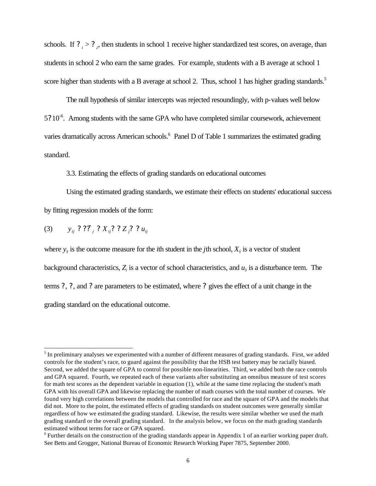schools. If  $?$   $_1 > ?$  <sup>2</sup>, then students in school 1 receive higher standardized test scores, on average, than students in school 2 who earn the same grades. For example, students with a B average at school 1 score higher than students with a B average at school 2. Thus, school 1 has higher grading standards.<sup>5</sup>

The null hypothesis of similar intercepts was rejected resoundingly, with p-values well below  $5$ ?  $10^{-6}$ . Among students with the same GPA who have completed similar coursework, achievement varies dramatically across American schools.<sup>6</sup> Panel D of Table 1 summarizes the estimated grading standard.

3.3. Estimating the effects of grading standards on educational outcomes

Using the estimated grading standards, we estimate their effects on students' educational success by fitting regression models of the form:

(3)  $y_{ij}$  ? ??<sub>*i*</sub> ?  $X_{ij}$ ? ?  $Z_{j}$ ? ?  $u_{ij}$ 

l

where  $y_{ij}$  is the outcome measure for the *i*th student in the *j*th school,  $X_{ij}$  is a vector of student background characteristics,  $Z_i$  is a vector of school characteristics, and  $u_i$  is a disturbance term. The terms *?* , *?* , and *?* are parameters to be estimated, where *?* gives the effect of a unit change in the grading standard on the educational outcome.

 $<sup>5</sup>$  In preliminary analyses we experimented with a number of different measures of grading standards. First, we added</sup> controls for the student's race, to guard against the possibility that the HSB test battery may be racially biased. Second, we added the square of GPA to control for possible non-linearities. Third, we added both the race controls and GPA squared. Fourth, we repeated each of these variants after substituting an omnibus measure of test scores for math test scores as the dependent variable in equation (1), while at the same time replacing the student's math GPA with his overall GPA and likewise replacing the number of math courses with the total number of courses. We found very high correlations between the models that controlled for race and the square of GPA and the models that did not. More to the point, the estimated effects of grading standards on student outcomes were generally similar regardless of how we estimated the grading standard. Likewise, the results were similar whether we used the math grading standard or the overall grading standard. In the analysis below, we focus on the math grading standards estimated without terms for race or GPA squared.

 $6$  Further details on the construction of the grading standards appear in Appendix 1 of an earlier working paper draft. See Betts and Grogger, National Bureau of Economic Research Working Paper 7875, September 2000.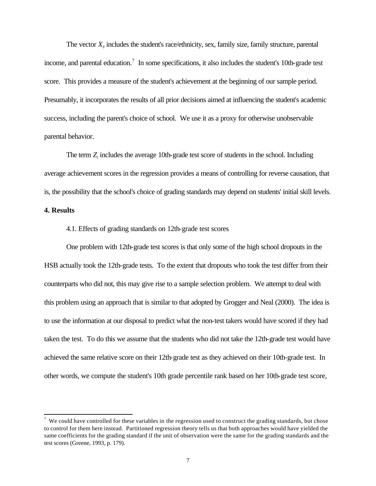The vector  $X_{ii}$  includes the student's race/ethnicity, sex, family size, family structure, parental income, and parental education.<sup>7</sup> In some specifications, it also includes the student's 10th-grade test score. This provides a measure of the student's achievement at the beginning of our sample period. Presumably, it incorporates the results of all prior decisions aimed at influencing the student's academic success, including the parent's choice of school. We use it as a proxy for otherwise unobservable parental behavior.

The term *Zj* includes the average 10th-grade test score of students in the school. Including average achievement scores in the regression provides a means of controlling for reverse causation, that is, the possibility that the school's choice of grading standards may depend on students' initial skill levels.

## **4. Results**

l

#### 4.1. Effects of grading standards on 12th-grade test scores

One problem with 12th-grade test scores is that only some of the high school dropouts in the HSB actually took the 12th-grade tests. To the extent that dropouts who took the test differ from their counterparts who did not, this may give rise to a sample selection problem. We attempt to deal with this problem using an approach that is similar to that adopted by Grogger and Neal (2000). The idea is to use the information at our disposal to predict what the non-test takers would have scored if they had taken the test. To do this we assume that the students who did not take the 12th-grade test would have achieved the same relative score on their 12th-grade test as they achieved on their 10th-grade test. In other words, we compute the student's 10th grade percentile rank based on her 10th-grade test score,

 $\alpha$  We could have controlled for these variables in the regression used to construct the grading standards, but chose to control for them here instead. Partitioned regression theory tells us that both approaches would have yielded the same coefficients for the grading standard if the unit of observation were the same for the grading standards and the test scores (Greene, 1993, p. 179).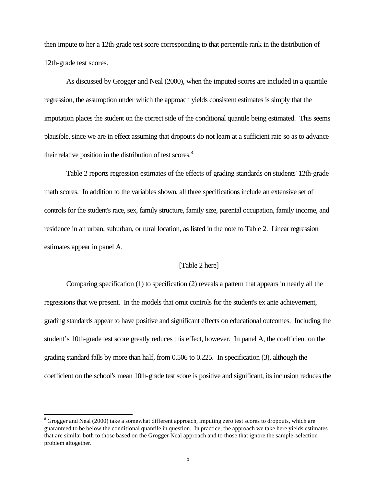then impute to her a 12th-grade test score corresponding to that percentile rank in the distribution of 12th-grade test scores.

As discussed by Grogger and Neal (2000), when the imputed scores are included in a quantile regression, the assumption under which the approach yields consistent estimates is simply that the imputation places the student on the correct side of the conditional quantile being estimated. This seems plausible, since we are in effect assuming that dropouts do not learn at a sufficient rate so as to advance their relative position in the distribution of test scores.<sup>8</sup>

Table 2 reports regression estimates of the effects of grading standards on students' 12th-grade math scores. In addition to the variables shown, all three specifications include an extensive set of controls for the student's race, sex, family structure, family size, parental occupation, family income, and residence in an urban, suburban, or rural location, as listed in the note to Table 2. Linear regression estimates appear in panel A.

## [Table 2 here]

Comparing specification (1) to specification (2) reveals a pattern that appears in nearly all the regressions that we present. In the models that omit controls for the student's ex ante achievement, grading standards appear to have positive and significant effects on educational outcomes. Including the student's 10th-grade test score greatly reduces this effect, however. In panel A, the coefficient on the grading standard falls by more than half, from 0.506 to 0.225. In specification (3), although the coefficient on the school's mean 10th-grade test score is positive and significant, its inclusion reduces the

l

 $8$  Grogger and Neal (2000) take a somewhat different approach, imputing zero test scores to dropouts, which are guaranteed to be below the conditional quantile in question. In practice, the approach we take here yields estimates that are similar both to those based on the Grogger-Neal approach and to those that ignore the sample-selection problem altogether.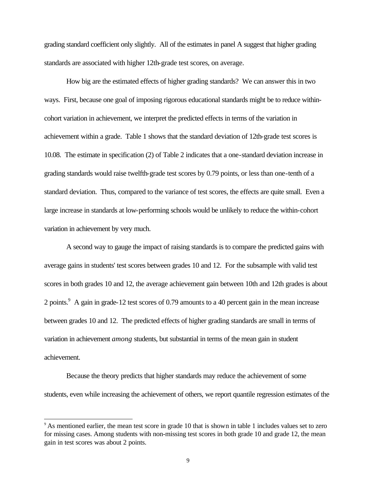grading standard coefficient only slightly. All of the estimates in panel A suggest that higher grading standards are associated with higher 12th-grade test scores, on average.

How big are the estimated effects of higher grading standards? We can answer this in two ways. First, because one goal of imposing rigorous educational standards might be to reduce withincohort variation in achievement, we interpret the predicted effects in terms of the variation in achievement within a grade. Table 1 shows that the standard deviation of 12th-grade test scores is 10.08. The estimate in specification (2) of Table 2 indicates that a one-standard deviation increase in grading standards would raise twelfth-grade test scores by 0.79 points, or less than one-tenth of a standard deviation. Thus, compared to the variance of test scores, the effects are quite small. Even a large increase in standards at low-performing schools would be unlikely to reduce the within-cohort variation in achievement by very much.

A second way to gauge the impact of raising standards is to compare the predicted gains with average gains in students' test scores between grades 10 and 12. For the subsample with valid test scores in both grades 10 and 12, the average achievement gain between 10th and 12th grades is about 2 points.<sup>9</sup> A gain in grade-12 test scores of 0.79 amounts to a 40 percent gain in the mean increase between grades 10 and 12. The predicted effects of higher grading standards are small in terms of variation in achievement *among* students, but substantial in terms of the mean gain in student achievement.

Because the theory predicts that higher standards may reduce the achievement of some students, even while increasing the achievement of others, we report quantile regression estimates of the

l

<sup>9</sup> As mentioned earlier, the mean test score in grade 10 that is shown in table 1 includes values set to zero for missing cases. Among students with non-missing test scores in both grade 10 and grade 12, the mean gain in test scores was about 2 points.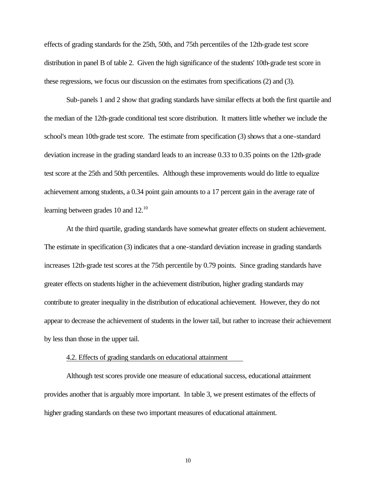effects of grading standards for the 25th, 50th, and 75th percentiles of the 12th-grade test score distribution in panel B of table 2. Given the high significance of the students' 10th-grade test score in these regressions, we focus our discussion on the estimates from specifications (2) and (3).

Sub-panels 1 and 2 show that grading standards have similar effects at both the first quartile and the median of the 12th-grade conditional test score distribution. It matters little whether we include the school's mean 10th-grade test score. The estimate from specification (3) shows that a one-standard deviation increase in the grading standard leads to an increase 0.33 to 0.35 points on the 12th-grade test score at the 25th and 50th percentiles. Although these improvements would do little to equalize achievement among students, a 0.34 point gain amounts to a 17 percent gain in the average rate of learning between grades 10 and 12.<sup>10</sup>

At the third quartile, grading standards have somewhat greater effects on student achievement. The estimate in specification (3) indicates that a one-standard deviation increase in grading standards increases 12th-grade test scores at the 75th percentile by 0.79 points. Since grading standards have greater effects on students higher in the achievement distribution, higher grading standards may contribute to greater inequality in the distribution of educational achievement. However, they do not appear to decrease the achievement of students in the lower tail, but rather to increase their achievement by less than those in the upper tail.

#### 4.2. Effects of grading standards on educational attainment

Although test scores provide one measure of educational success, educational attainment provides another that is arguably more important. In table 3, we present estimates of the effects of higher grading standards on these two important measures of educational attainment.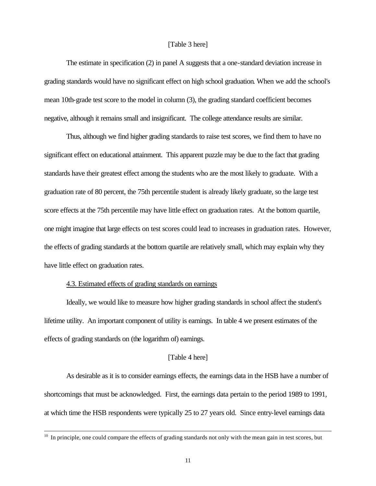## [Table 3 here]

The estimate in specification (2) in panel A suggests that a one-standard deviation increase in grading standards would have no significant effect on high school graduation. When we add the school's mean 10th-grade test score to the model in column (3), the grading standard coefficient becomes negative, although it remains small and insignificant. The college attendance results are similar.

Thus, although we find higher grading standards to raise test scores, we find them to have no significant effect on educational attainment. This apparent puzzle may be due to the fact that grading standards have their greatest effect among the students who are the most likely to graduate. With a graduation rate of 80 percent, the 75th percentile student is already likely graduate, so the large test score effects at the 75th percentile may have little effect on graduation rates. At the bottom quartile, one might imagine that large effects on test scores could lead to increases in graduation rates. However, the effects of grading standards at the bottom quartile are relatively small, which may explain why they have little effect on graduation rates.

#### 4.3. Estimated effects of grading standards on earnings

l

Ideally, we would like to measure how higher grading standards in school affect the student's lifetime utility. An important component of utility is earnings. In table 4 we present estimates of the effects of grading standards on (the logarithm of) earnings.

## [Table 4 here]

As desirable as it is to consider earnings effects, the earnings data in the HSB have a number of shortcomings that must be acknowledged. First, the earnings data pertain to the period 1989 to 1991, at which time the HSB respondents were typically 25 to 27 years old. Since entry-level earnings data

 $10\;\text{I}$  In principle, one could compare the effects of grading standards not only with the mean gain in test scores, but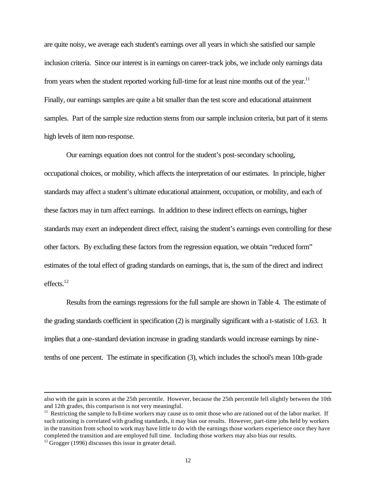are quite noisy, we average each student's earnings over all years in which she satisfied our sample inclusion criteria. Since our interest is in earnings on career-track jobs, we include only earnings data from years when the student reported working full-time for at least nine months out of the year.<sup>11</sup> Finally, our earnings samples are quite a bit smaller than the test score and educational attainment samples. Part of the sample size reduction stems from our sample inclusion criteria, but part of it stems high levels of item non-response.

Our earnings equation does not control for the student's post-secondary schooling, occupational choices, or mobility, which affects the interpretation of our estimates. In principle, higher standards may affect a student's ultimate educational attainment, occupation, or mobility, and each of these factors may in turn affect earnings. In addition to these indirect effects on earnings, higher standards may exert an independent direct effect, raising the student's earnings even controlling for these other factors. By excluding these factors from the regression equation, we obtain "reduced form" estimates of the total effect of grading standards on earnings, that is, the sum of the direct and indirect effects. $^{12}$ 

Results from the earnings regressions for the full sample are shown in Table 4. The estimate of the grading standards coefficient in specification (2) is marginally significant with a t-statistic of 1.63. It implies that a one-standard deviation increase in grading standards would increase earnings by ninetenths of one percent. The estimate in specification (3), which includes the school's mean 10th-grade

l

also with the gain in scores at the 25th percentile. However, because the 25th percentile fell slightly between the 10th and 12th grades, this comparison is not very meaningful.

 $11$  Restricting the sample to full-time workers may cause us to omit those who are rationed out of the labor market. If such rationing is correlated with grading standards, it may bias our results. However, part-time jobs held by workers in the transition from school to work may have little to do with the earnings those workers experience once they have completed the transition and are employed full time. Including those workers may also bias our results.

 $12$  Grogger (1996) discusses this issue in greater detail.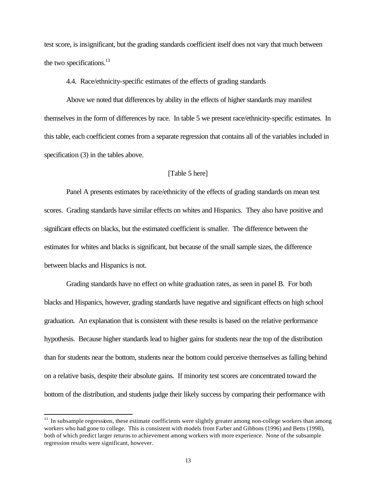test score, is insignificant, but the grading standards coefficient itself does not vary that much between the two specifications. $^{13}$ 

4.4. Race/ethnicity-specific estimates of the effects of grading standards

Above we noted that differences by ability in the effects of higher standards may manifest themselves in the form of differences by race. In table 5 we present race/ethnicity-specific estimates. In this table, each coefficient comes from a separate regression that contains all of the variables included in specification (3) in the tables above.

#### [Table 5 here]

Panel A presents estimates by race/ethnicity of the effects of grading standards on mean test scores. Grading standards have similar effects on whites and Hispanics. They also have positive and significant effects on blacks, but the estimated coefficient is smaller. The difference between the estimates for whites and blacks is significant, but because of the small sample sizes, the difference between blacks and Hispanics is not.

Grading standards have no effect on white graduation rates, as seen in panel B. For both blacks and Hispanics, however, grading standards have negative and significant effects on high school graduation. An explanation that is consistent with these results is based on the relative performance hypothesis. Because higher standards lead to higher gains for students near the top of the distribution than for students near the bottom, students near the bottom could perceive themselves as falling behind on a relative basis, despite their absolute gains. If minority test scores are concentrated toward the bottom of the distribution, and students judge their likely success by comparing their performance with

l

<sup>&</sup>lt;sup>13</sup> In subsample regressions, these estimate coefficients were slightly greater among non-college workers than among workers who had gone to college. This is consistent with models from Farber and Gibbons (1996) and Betts (1998), both of which predict larger returns to achievement among workers with more experience. None of the subsample regression results were significant, however.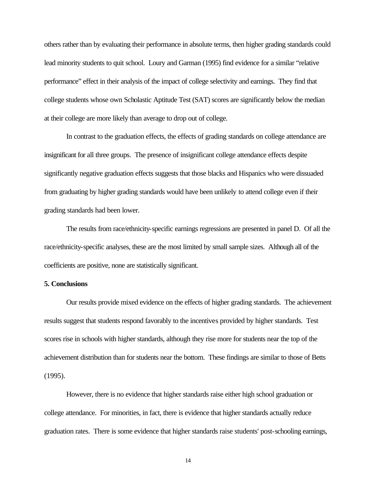others rather than by evaluating their performance in absolute terms, then higher grading standards could lead minority students to quit school. Loury and Garman (1995) find evidence for a similar "relative performance" effect in their analysis of the impact of college selectivity and earnings. They find that college students whose own Scholastic Aptitude Test (SAT) scores are significantly below the median at their college are more likely than average to drop out of college.

In contrast to the graduation effects, the effects of grading standards on college attendance are insignificant for all three groups. The presence of insignificant college attendance effects despite significantly negative graduation effects suggests that those blacks and Hispanics who were dissuaded from graduating by higher grading standards would have been unlikely to attend college even if their grading standards had been lower.

The results from race/ethnicity-specific earnings regressions are presented in panel D. Of all the race/ethnicity-specific analyses, these are the most limited by small sample sizes. Although all of the coefficients are positive, none are statistically significant.

#### **5. Conclusions**

Our results provide mixed evidence on the effects of higher grading standards. The achievement results suggest that students respond favorably to the incentives provided by higher standards. Test scores rise in schools with higher standards, although they rise more for students near the top of the achievement distribution than for students near the bottom. These findings are similar to those of Betts (1995).

However, there is no evidence that higher standards raise either high school graduation or college attendance. For minorities, in fact, there is evidence that higher standards actually reduce graduation rates. There is some evidence that higher standards raise students' post-schooling earnings,

14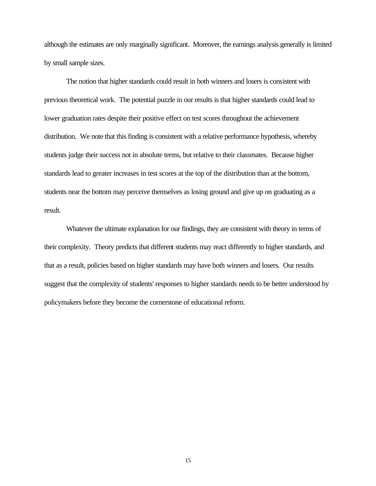although the estimates are only marginally significant. Moreover, the earnings analysis generally is limited by small sample sizes.

The notion that higher standards could result in both winners and losers is consistent with previous theoretical work. The potential puzzle in our results is that higher standards could lead to lower graduation rates despite their positive effect on test scores throughout the achievement distribution. We note that this finding is consistent with a relative performance hypothesis, whereby students judge their success not in absolute terms, but relative to their classmates. Because higher standards lead to greater increases in test scores at the top of the distribution than at the bottom, students near the bottom may perceive themselves as losing ground and give up on graduating as a result.

Whatever the ultimate explanation for our findings, they are consistent with theory in terms of their complexity. Theory predicts that different students may react differently to higher standards, and that as a result, policies based on higher standards may have both winners and losers. Our results suggest that the complexity of students' responses to higher standards needs to be better understood by policymakers before they become the cornerstone of educational reform.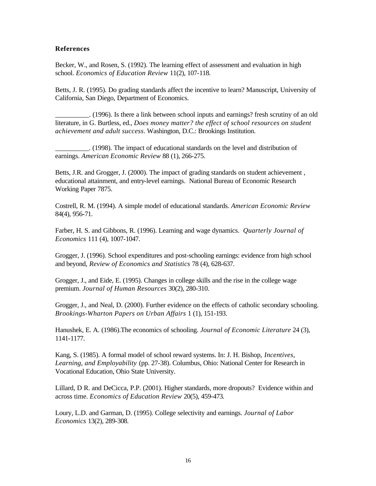#### **References**

Becker, W., and Rosen, S. (1992). The learning effect of assessment and evaluation in high school. *Economics of Education Review* 11(2), 107-118.

Betts, J. R. (1995). Do grading standards affect the incentive to learn? Manuscript, University of California, San Diego, Department of Economics.

\_\_\_\_\_\_\_\_\_\_. (1996). Is there a link between school inputs and earnings? fresh scrutiny of an old literature, in G. Burtless, ed., *Does money matter? the effect of school resources on student achievement and adult success*. Washington, D.C.: Brookings Institution.

\_\_\_\_\_\_\_\_\_\_. (1998). The impact of educational standards on the level and distribution of earnings. *American Economic Review* 88 (1), 266-275.

Betts, J.R. and Grogger, J. (2000). The impact of grading standards on student achievement , educational attainment, and entry-level earnings. National Bureau of Economic Research Working Paper 7875.

Costrell, R. M. (1994). A simple model of educational standards. *American Economic Review* 84(4), 956-71.

Farber, H. S. and Gibbons, R. (1996). Learning and wage dynamics. *Quarterly Journal of Economics* 111 (4), 1007-1047.

Grogger, J. (1996). School expenditures and post-schooling earnings: evidence from high school and beyond, *Review of Economics and Statistics* 78 (4), 628-637.

Grogger, J., and Eide, E. (1995). Changes in college skills and the rise in the college wage premium. *Journal of Human Resources* 30(2), 280-310.

Grogger, J., and Neal, D. (2000). Further evidence on the effects of catholic secondary schooling. *Brookings-Wharton Papers on Urban Affairs* 1 (1), 151-193.

Hanushek, E. A. (1986).The economics of schooling. *Journal of Economic Literature* 24 (3), 1141-1177.

Kang, S. (1985). A formal model of school reward systems. In: J. H. Bishop, *Incentives, Learning, and Employability* (pp. 27-38). Columbus, Ohio: National Center for Research in Vocational Education, Ohio State University.

Lillard, D R. and DeCicca, P.P. (2001). Higher standards, more dropouts? Evidence within and across time. *Economics of Education Review* 20(5), 459-473.

Loury, L.D. and Garman, D. (1995). College selectivity and earnings. *Journal of Labor Economics* 13(2), 289-308.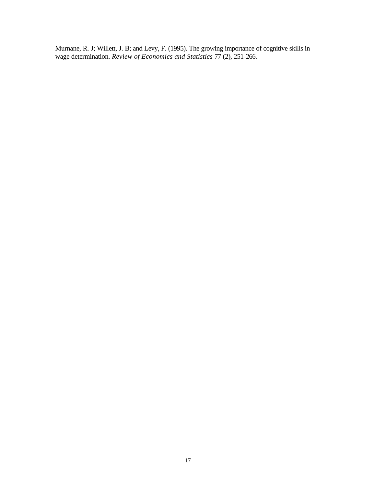Murnane, R. J; Willett, J. B; and Levy, F. (1995). The growing importance of cognitive skills in wage determination. *Review of Economics and Statistics* 77 (2), 251-266.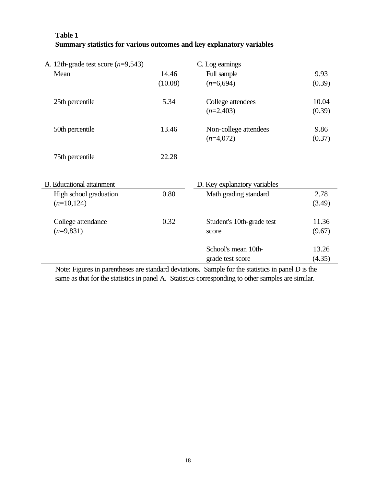| A. 12th-grade test score $(n=9,543)$ |         | C. Log earnings              |        |
|--------------------------------------|---------|------------------------------|--------|
| Mean                                 | 14.46   | Full sample                  | 9.93   |
|                                      | (10.08) | $(n=6,694)$                  | (0.39) |
|                                      |         |                              |        |
| 25th percentile                      | 5.34    | College attendees            | 10.04  |
|                                      |         | $(n=2,403)$                  | (0.39) |
|                                      |         |                              |        |
| 50th percentile                      | 13.46   | Non-college attendees        | 9.86   |
|                                      |         | $(n=4,072)$                  | (0.37) |
|                                      |         |                              |        |
| 75th percentile                      | 22.28   |                              |        |
|                                      |         |                              |        |
|                                      |         |                              |        |
| <b>B.</b> Educational attainment     |         | D. Key explanatory variables |        |
| High school graduation               | 0.80    | Math grading standard        | 2.78   |
| $(n=10, 124)$                        |         |                              | (3.49) |
|                                      |         |                              |        |
| College attendance                   | 0.32    | Student's 10th-grade test    | 11.36  |
| $(n=9,831)$                          |         | score                        | (9.67) |
|                                      |         |                              |        |
|                                      |         | School's mean 10th-          | 13.26  |
|                                      |         | grade test score             | (4.35) |

# **Table 1 Summary statistics for various outcomes and key explanatory variables**

Note: Figures in parentheses are standard deviations. Sample for the statistics in panel D is the same as that for the statistics in panel A. Statistics corresponding to other samples are similar.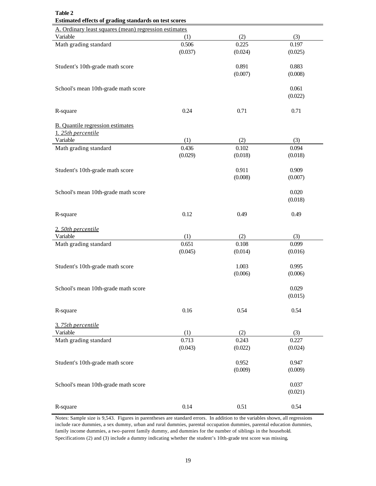| Table 2<br>Estimated effects of grading standards on test scores |         |         |         |  |  |
|------------------------------------------------------------------|---------|---------|---------|--|--|
| A. Ordinary least squares (mean) regression estimates            |         |         |         |  |  |
| Variable                                                         | (1)     | (2)     | (3)     |  |  |
| Math grading standard                                            | 0.506   | 0.225   | 0.197   |  |  |
|                                                                  | (0.037) | (0.024) | (0.025) |  |  |
|                                                                  |         |         |         |  |  |
|                                                                  |         | 0.891   | 0.883   |  |  |
| Student's 10th-grade math score                                  |         |         |         |  |  |
|                                                                  |         | (0.007) | (0.008) |  |  |
|                                                                  |         |         |         |  |  |
| School's mean 10th-grade math score                              |         |         | 0.061   |  |  |
|                                                                  |         |         | (0.022) |  |  |
|                                                                  |         |         |         |  |  |
| R-square                                                         | 0.24    | 0.71    | 0.71    |  |  |
|                                                                  |         |         |         |  |  |
| <b>B.</b> Quantile regression estimates                          |         |         |         |  |  |
| 1. 25th percentile                                               |         |         |         |  |  |
| Variable                                                         | (1)     | (2)     | (3)     |  |  |
| Math grading standard                                            | 0.436   | 0.102   | 0.094   |  |  |
|                                                                  | (0.029) | (0.018) | (0.018) |  |  |
|                                                                  |         |         |         |  |  |
| Student's 10th-grade math score                                  |         | 0.911   | 0.909   |  |  |
|                                                                  |         | (0.008) | (0.007) |  |  |
|                                                                  |         |         |         |  |  |
| School's mean 10th-grade math score                              |         |         | 0.020   |  |  |
|                                                                  |         |         | (0.018) |  |  |
|                                                                  |         |         |         |  |  |
| R-square                                                         | 0.12    | 0.49    | 0.49    |  |  |
|                                                                  |         |         |         |  |  |
| 2. 50th percentile                                               |         |         |         |  |  |
| Variable                                                         | (1)     | (2)     | (3)     |  |  |
|                                                                  |         | 0.108   |         |  |  |
| Math grading standard                                            | 0.651   |         | 0.099   |  |  |
|                                                                  | (0.045) | (0.014) | (0.016) |  |  |
|                                                                  |         |         |         |  |  |
| Student's 10th-grade math score                                  |         | 1.003   | 0.995   |  |  |
|                                                                  |         | (0.006) | (0.006) |  |  |
|                                                                  |         |         |         |  |  |
| School's mean 10th-grade math score                              |         |         | 0.029   |  |  |
|                                                                  |         |         | (0.015) |  |  |
|                                                                  |         |         |         |  |  |
| R-square                                                         | 0.16    | 0.54    | 0.54    |  |  |
|                                                                  |         |         |         |  |  |
| 3.75th percentile                                                |         |         |         |  |  |
| Variable                                                         | (1)     | (2)     | (3)     |  |  |
| Math grading standard                                            | 0.713   | 0.243   | 0.227   |  |  |
|                                                                  | (0.043) | (0.022) | (0.024) |  |  |
|                                                                  |         |         |         |  |  |
| Student's 10th-grade math score                                  |         | 0.952   | 0.947   |  |  |
|                                                                  |         | (0.009) | (0.009) |  |  |
|                                                                  |         |         |         |  |  |
| School's mean 10th-grade math score                              |         |         | 0.037   |  |  |
|                                                                  |         |         |         |  |  |
|                                                                  |         |         | (0.021) |  |  |
|                                                                  |         |         |         |  |  |
| R-square                                                         | 0.14    | 0.51    | 0.54    |  |  |

Notes: Sample size is 9,543. Figures in parentheses are standard errors. In addition to the variables shown, all regressions include race dummies, a sex dummy, urban and rural dummies, parental occupation dummies, parental education dummies, family income dummies, a two-parent family dummy, and dummies for the number of siblings in the household. Specifications (2) and (3) include a dummy indicating whether the student's 10th-grade test score was missing.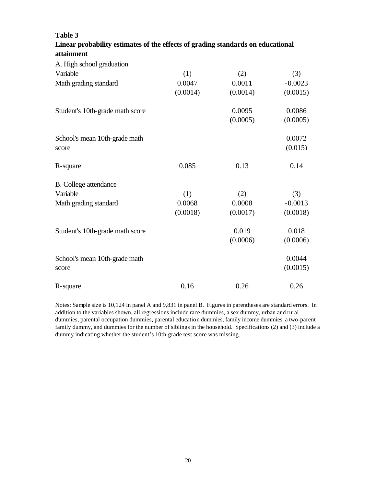| (2)<br>(3)           |
|----------------------|
| 0.0011<br>$-0.0023$  |
| (0.0014)<br>(0.0015) |
|                      |
| 0.0095<br>0.0086     |
| (0.0005)<br>(0.0005) |
| 0.0072               |
| (0.015)              |
|                      |
| 0.13<br>0.14         |
|                      |
|                      |
| (2)<br>(3)           |
| 0.0008<br>$-0.0013$  |
| (0.0017)<br>(0.0018) |
| 0.019<br>0.018       |
| (0.0006)<br>(0.0006) |
|                      |
| 0.0044               |
| (0.0015)             |
|                      |
| 0.26<br>0.26         |
|                      |

# **Table 3 Linear probability estimates of the effects of grading standards on educational attainment**

Notes: Sample size is 10,124 in panel A and 9,831 in panel B. Figures in parentheses are standard errors. In addition to the variables shown, all regressions include race dummies, a sex dummy, urban and rural dummies, parental occupation dummies, parental education dummies, family income dummies, a two-parent family dummy, and dummies for the number of siblings in the household. Specifications (2) and (3) include a dummy indicating whether the student's 10th-grade test score was missing.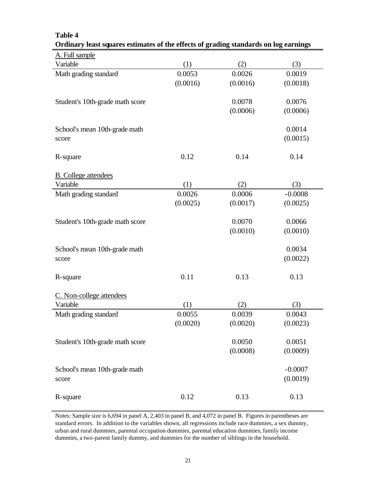| Ordinary least squares estimates of the effects of grading standards on log earnings |          |          |           |
|--------------------------------------------------------------------------------------|----------|----------|-----------|
| A. Full sample                                                                       |          |          |           |
| Variable                                                                             | (1)      | (2)      | (3)       |
| Math grading standard                                                                | 0.0053   | 0.0026   | 0.0019    |
|                                                                                      | (0.0016) | (0.0016) | (0.0018)  |
|                                                                                      |          |          |           |
| Student's 10th-grade math score                                                      |          | 0.0078   | 0.0076    |
|                                                                                      |          | (0.0006) | (0.0006)  |
|                                                                                      |          |          |           |
| School's mean 10th-grade math                                                        |          |          | 0.0014    |
| score                                                                                |          |          | (0.0015)  |
|                                                                                      | 0.12     | 0.14     | 0.14      |
| R-square                                                                             |          |          |           |
| <b>B.</b> College attendees                                                          |          |          |           |
| Variable                                                                             | (1)      | (2)      | (3)       |
| Math grading standard                                                                | 0.0026   | 0.0006   | $-0.0008$ |
|                                                                                      | (0.0025) | (0.0017) | (0.0025)  |
|                                                                                      |          |          |           |
| Student's 10th-grade math score                                                      |          | 0.0070   | 0.0066    |
|                                                                                      |          | (0.0010) | (0.0010)  |
|                                                                                      |          |          |           |
| School's mean 10th-grade math                                                        |          |          | 0.0034    |
| score                                                                                |          |          | (0.0022)  |
|                                                                                      |          |          |           |
| R-square                                                                             | 0.11     | 0.13     | 0.13      |
| C. Non-college attendees                                                             |          |          |           |
| Variable                                                                             | (1)      | (2)      | (3)       |
| Math grading standard                                                                | 0.0055   | 0.0039   | 0.0043    |
|                                                                                      | (0.0020) | (0.0020) | (0.0023)  |
|                                                                                      |          |          |           |
| Student's 10th-grade math score                                                      |          | 0.0050   | 0.0051    |
|                                                                                      |          | (0.0008) | (0.0009)  |
|                                                                                      |          |          |           |
| School's mean 10th-grade math                                                        |          |          | $-0.0007$ |
| score                                                                                |          |          | (0.0019)  |
|                                                                                      |          |          |           |
| R-square                                                                             | 0.12     | 0.13     | 0.13      |

**Table 4**

Notes: Sample size is 6,694 in panel A, 2,403 in panel B, and 4,072 in panel B. Figures in parentheses are standard errors. In addition to the variables shown, all regressions include race dummies, a sex dummy, urban and rural dummies, parental occupation dummies, parental education dummies, family income dummies, a two-parent family dummy, and dummies for the number of siblings in the household.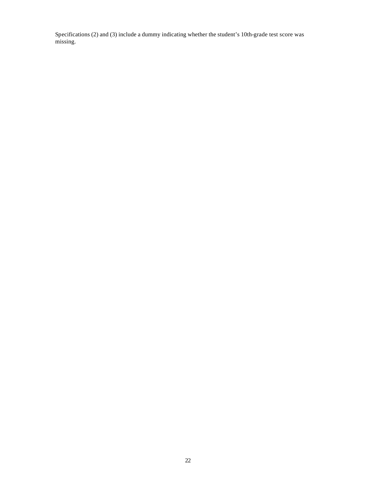Specifications (2) and (3) include a dummy indicating whether the student's 10th-grade test score was missing.